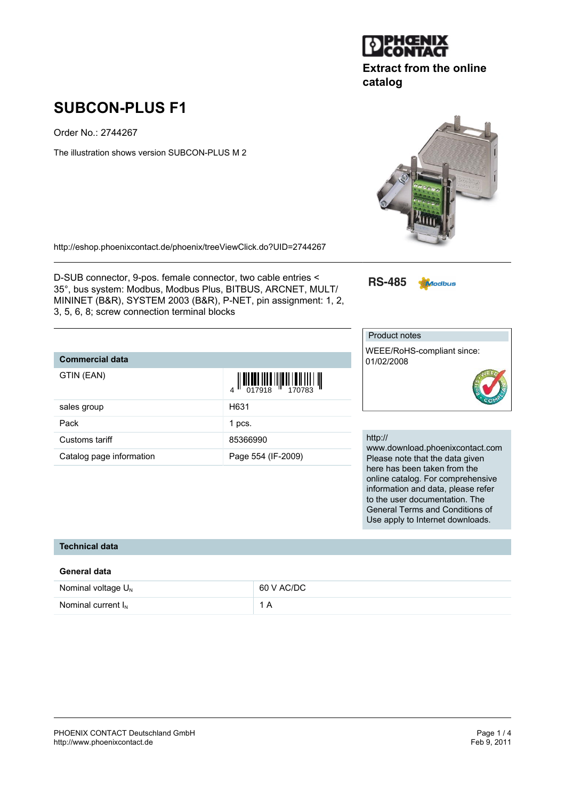Order No.: 2744267

The illustration shows version SUBCON-PLUS M 2

<http://eshop.phoenixcontact.de/phoenix/treeViewClick.do?UID=2744267>

D-SUB connector, 9-pos. female connector, two cable entries < 35°, bus system: Modbus, Modbus Plus, BITBUS, ARCNET, MULT/ MININET (B&R), SYSTEM 2003 (B&R), P-NET, pin assignment: 1, 2, 3, 5, 6, 8; screw connection terminal blocks

## **Commercial data**

**Technical data**

| GTIN (EAN)               |                    |
|--------------------------|--------------------|
| sales group              | H631               |
| Pack                     | 1 pcs.             |
| Customs tariff           | 85366990           |
| Catalog page information | Page 554 (IF-2009) |

01/02/2008

**RS-485** 

Product notes

### http://

www.download.phoenixcontact.com Please note that the data given here has been taken from the online catalog. For comprehensive information and data, please refer to the user documentation. The General Terms and Conditions of Use apply to Internet downloads.

| General data            |            |
|-------------------------|------------|
| Nominal voltage $U_{N}$ | 60 V AC/DC |
| Nominal current $I_N$   | 1 A        |





## **Extract from the online catalog**



Modbus

WEEE/RoHS-compliant since: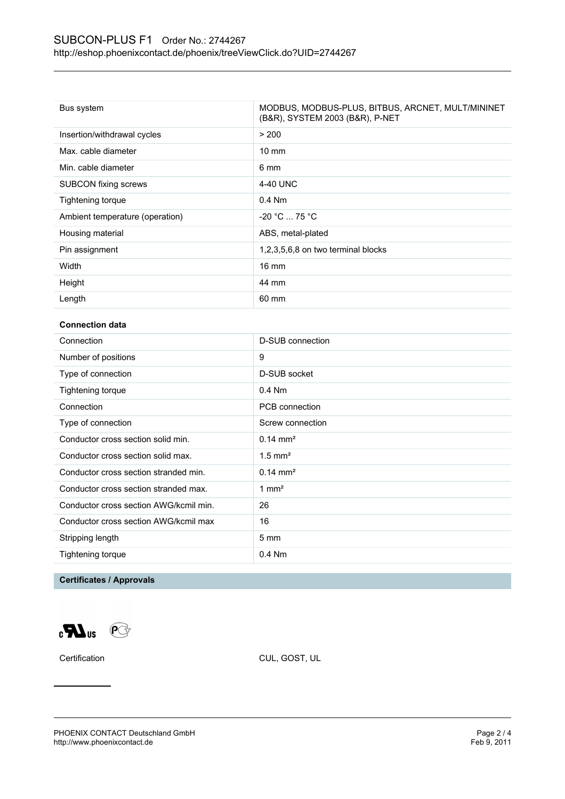| Bus system                      | MODBUS, MODBUS-PLUS, BITBUS, ARCNET, MULT/MININET<br>(B&R), SYSTEM 2003 (B&R), P-NET |
|---------------------------------|--------------------------------------------------------------------------------------|
| Insertion/withdrawal cycles     | > 200                                                                                |
| Max. cable diameter             | $10 \text{ mm}$                                                                      |
| Min. cable diameter             | 6 mm                                                                                 |
| <b>SUBCON</b> fixing screws     | 4-40 UNC                                                                             |
| Tightening torque               | $0.4$ Nm                                                                             |
| Ambient temperature (operation) | $-20 °C  75 °C$                                                                      |
| Housing material                | ABS, metal-plated                                                                    |
| Pin assignment                  | 1,2,3,5,6,8 on two terminal blocks                                                   |
| Width                           | $16 \text{ mm}$                                                                      |
| Height                          | 44 mm                                                                                |
| Length                          | 60 mm                                                                                |

#### **Connection data**

| Connection                             | D-SUB connection      |
|----------------------------------------|-----------------------|
| Number of positions                    | 9                     |
| Type of connection                     | D-SUB socket          |
| Tightening torque                      | $0.4$ Nm              |
| Connection                             | PCB connection        |
| Type of connection                     | Screw connection      |
| Conductor cross section solid min.     | $0.14 \text{ mm}^2$   |
| Conductor cross section solid max.     | $1.5$ mm <sup>2</sup> |
| Conductor cross section stranded min.  | $0.14 \text{ mm}^2$   |
| Conductor cross section stranded max.  | $1 \text{ mm}^2$      |
| Conductor cross section AWG/kcmil min. | 26                    |
| Conductor cross section AWG/kcmil max  | 16                    |
| Stripping length                       | $5 \text{ mm}$        |
| Tightening torque                      | $0.4$ Nm              |
|                                        |                       |

### **Certificates / Approvals**

 $\mathbf{C}$  and  $\mathbf{C}$ 

Certification CUL, GOST, UL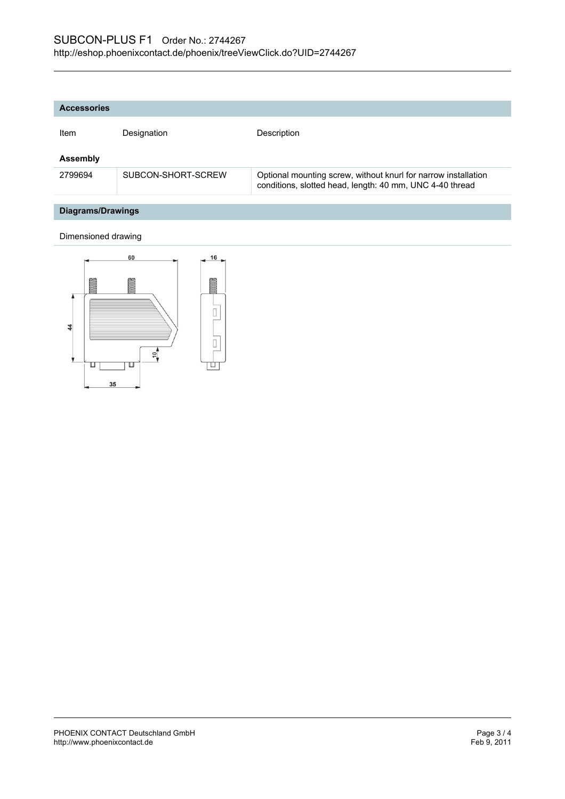| <b>Accessories</b> |                    |                                                                                                                            |
|--------------------|--------------------|----------------------------------------------------------------------------------------------------------------------------|
| Item               | Designation        | Description                                                                                                                |
| <b>Assembly</b>    |                    |                                                                                                                            |
| 2799694            | SUBCON-SHORT-SCREW | Optional mounting screw, without knurl for narrow installation<br>conditions, slotted head, length: 40 mm, UNC 4-40 thread |
|                    |                    |                                                                                                                            |
| Diagrams/Drawings  |                    |                                                                                                                            |

# Dimensioned drawing